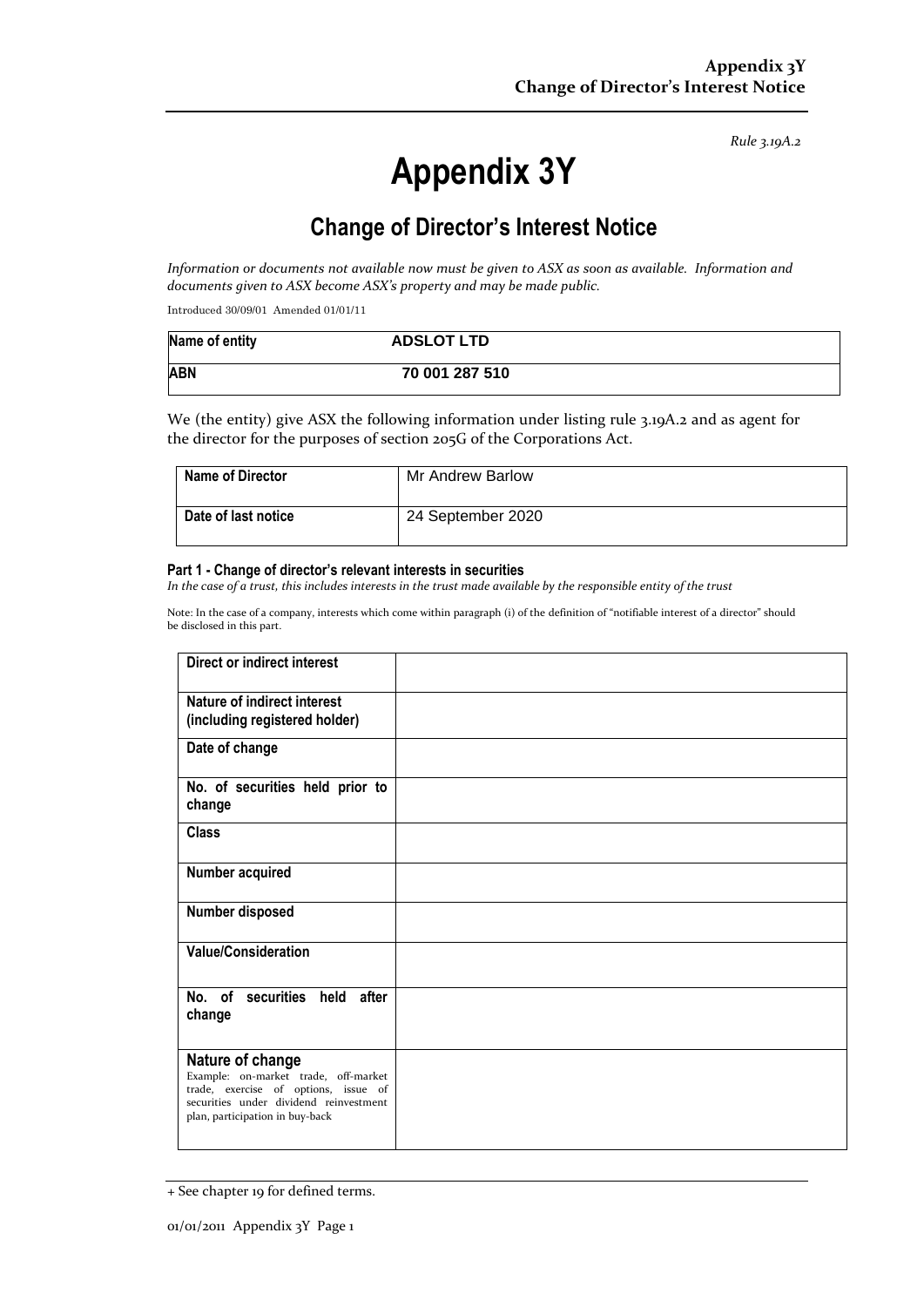*Rule 3.19A.2*

# **Appendix 3Y**

# **Change of Director's Interest Notice**

*Information or documents not available now must be given to ASX as soon as available. Information and documents given to ASX become ASX's property and may be made public.*

Introduced 30/09/01 Amended 01/01/11

| Name of entity | <b>ADSLOT LTD</b> |
|----------------|-------------------|
| <b>ABN</b>     | 70 001 287 510    |

We (the entity) give ASX the following information under listing rule 3.19A.2 and as agent for the director for the purposes of section 205G of the Corporations Act.

| <b>Name of Director</b> | Mr Andrew Barlow  |
|-------------------------|-------------------|
| Date of last notice     | 24 September 2020 |

#### **Part 1 - Change of director's relevant interests in securities**

*In the case of a trust, this includes interests in the trust made available by the responsible entity of the trust*

Note: In the case of a company, interests which come within paragraph (i) of the definition of "notifiable interest of a director" should be disclosed in this part.

| <b>Direct or indirect interest</b>     |  |
|----------------------------------------|--|
| Nature of indirect interest            |  |
|                                        |  |
| (including registered holder)          |  |
| Date of change                         |  |
|                                        |  |
| No. of securities held prior to        |  |
| change                                 |  |
|                                        |  |
| <b>Class</b>                           |  |
|                                        |  |
|                                        |  |
| Number acquired                        |  |
|                                        |  |
| Number disposed                        |  |
|                                        |  |
|                                        |  |
| <b>Value/Consideration</b>             |  |
|                                        |  |
|                                        |  |
| No. of securities held after           |  |
| change                                 |  |
|                                        |  |
|                                        |  |
| Nature of change                       |  |
| Example: on-market trade, off-market   |  |
| trade, exercise of options, issue of   |  |
| securities under dividend reinvestment |  |
| plan, participation in buy-back        |  |
|                                        |  |
|                                        |  |

<sup>+</sup> See chapter 19 for defined terms.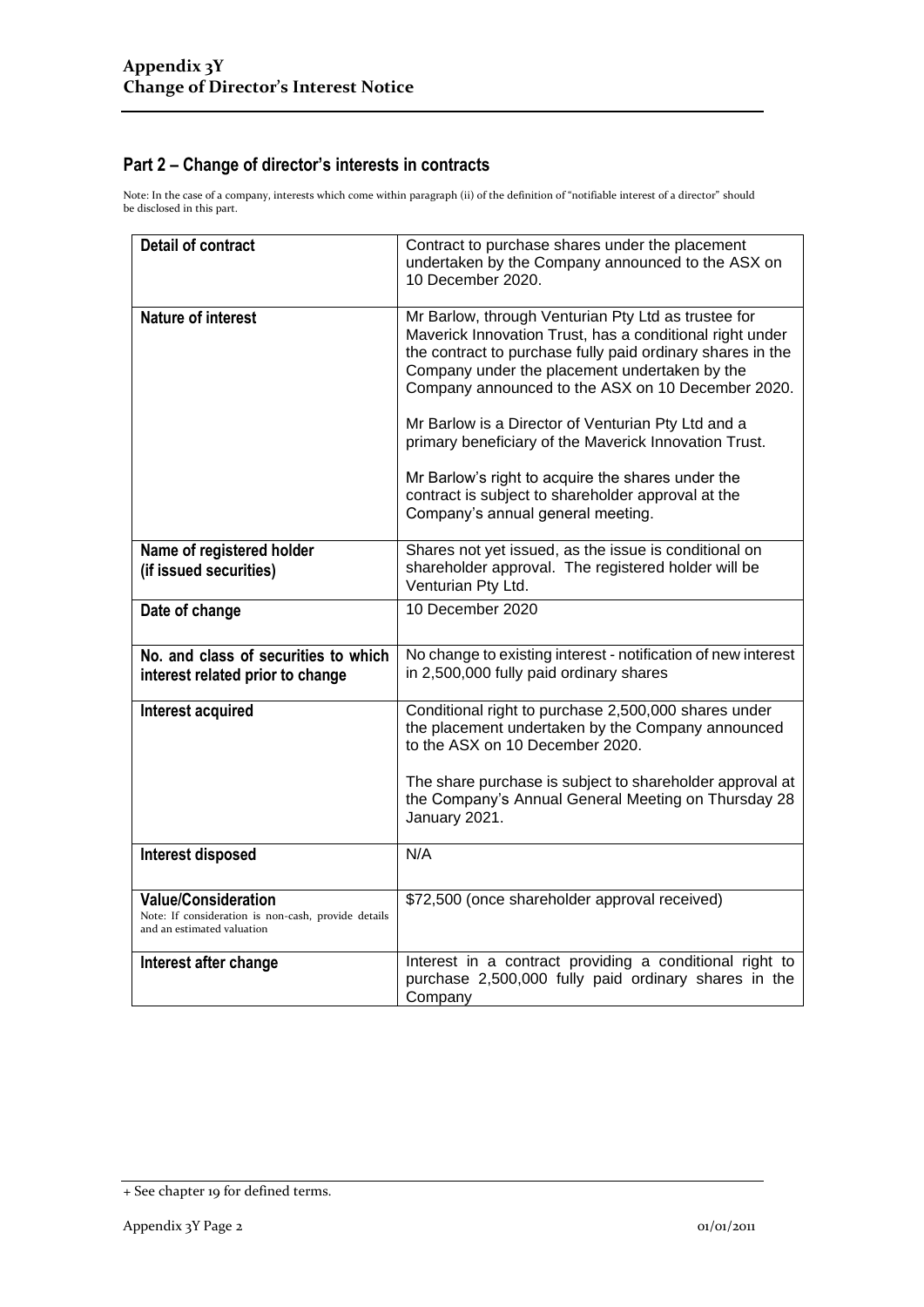## **Part 2 – Change of director's interests in contracts**

Note: In the case of a company, interests which come within paragraph (ii) of the definition of "notifiable interest of a director" should be disclosed in this part.

| <b>Detail of contract</b>                                                                                       | Contract to purchase shares under the placement<br>undertaken by the Company announced to the ASX on<br>10 December 2020.                                                                                                                                                                                                                                                                                                                                                                                                                          |
|-----------------------------------------------------------------------------------------------------------------|----------------------------------------------------------------------------------------------------------------------------------------------------------------------------------------------------------------------------------------------------------------------------------------------------------------------------------------------------------------------------------------------------------------------------------------------------------------------------------------------------------------------------------------------------|
| <b>Nature of interest</b>                                                                                       | Mr Barlow, through Venturian Pty Ltd as trustee for<br>Maverick Innovation Trust, has a conditional right under<br>the contract to purchase fully paid ordinary shares in the<br>Company under the placement undertaken by the<br>Company announced to the ASX on 10 December 2020.<br>Mr Barlow is a Director of Venturian Pty Ltd and a<br>primary beneficiary of the Maverick Innovation Trust.<br>Mr Barlow's right to acquire the shares under the<br>contract is subject to shareholder approval at the<br>Company's annual general meeting. |
| Name of registered holder<br>(if issued securities)                                                             | Shares not yet issued, as the issue is conditional on<br>shareholder approval. The registered holder will be<br>Venturian Pty Ltd.                                                                                                                                                                                                                                                                                                                                                                                                                 |
| Date of change                                                                                                  | 10 December 2020                                                                                                                                                                                                                                                                                                                                                                                                                                                                                                                                   |
| No. and class of securities to which<br>interest related prior to change                                        | No change to existing interest - notification of new interest<br>in 2,500,000 fully paid ordinary shares                                                                                                                                                                                                                                                                                                                                                                                                                                           |
| Interest acquired                                                                                               | Conditional right to purchase 2,500,000 shares under<br>the placement undertaken by the Company announced<br>to the ASX on 10 December 2020.<br>The share purchase is subject to shareholder approval at<br>the Company's Annual General Meeting on Thursday 28<br>January 2021.                                                                                                                                                                                                                                                                   |
| Interest disposed                                                                                               | N/A                                                                                                                                                                                                                                                                                                                                                                                                                                                                                                                                                |
| <b>Value/Consideration</b><br>Note: If consideration is non-cash, provide details<br>and an estimated valuation | \$72,500 (once shareholder approval received)                                                                                                                                                                                                                                                                                                                                                                                                                                                                                                      |
| Interest after change                                                                                           | Interest in a contract providing a conditional right to<br>purchase 2,500,000 fully paid ordinary shares in the<br>Company                                                                                                                                                                                                                                                                                                                                                                                                                         |

<sup>+</sup> See chapter 19 for defined terms.